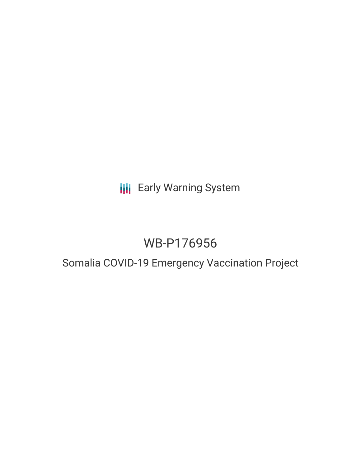# **III** Early Warning System

# WB-P176956

## Somalia COVID-19 Emergency Vaccination Project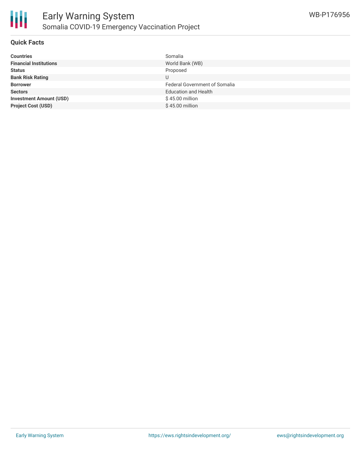

#### **Quick Facts**

| <b>Countries</b>               | Somalia                              |
|--------------------------------|--------------------------------------|
| <b>Financial Institutions</b>  | World Bank (WB)                      |
| <b>Status</b>                  | Proposed                             |
| <b>Bank Risk Rating</b>        | U                                    |
| <b>Borrower</b>                | <b>Federal Government of Somalia</b> |
| <b>Sectors</b>                 | <b>Education and Health</b>          |
| <b>Investment Amount (USD)</b> | \$45.00 million                      |
| <b>Project Cost (USD)</b>      | $$45.00$ million                     |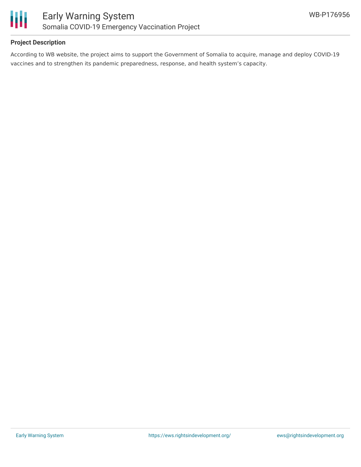

### **Project Description**

According to WB website, the project aims to support the Government of Somalia to acquire, manage and deploy COVID-19 vaccines and to strengthen its pandemic preparedness, response, and health system's capacity.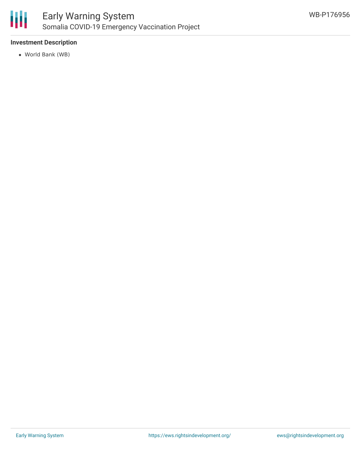

### **Investment Description**

World Bank (WB)